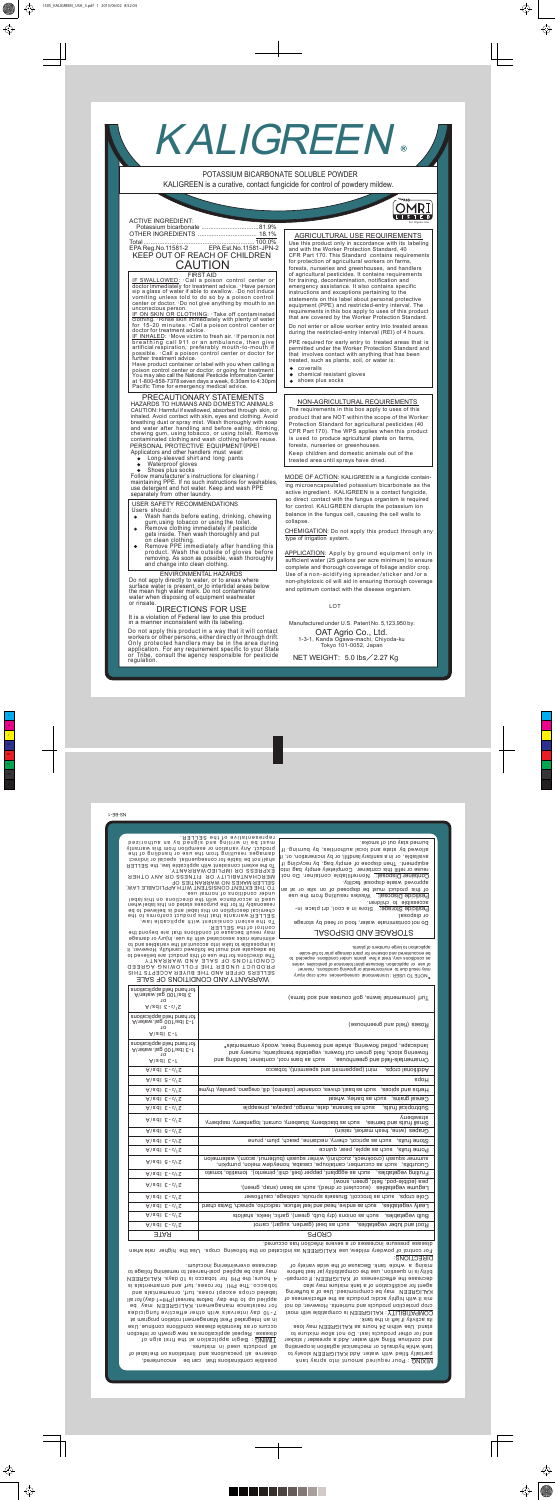# KALIGREEN

POTASSIUM BICARBONATE SOLUBLE POWDER KALIGREEN is a curative, contact fungicide for control of powdery mildew.

100.0%

ACTIVE INGREDIENT:

Potassium bicarbonate ................................. 81.9% OTHER INGREDIENTS .................................. 18.1% EPA Reg.No.11581-2 KEEP OUT OF REACH OF CHILDREN Total ................................................................ EPA Est.No.11581-JPN-2

# CAUTION

IF SWALLOWED: • Call a poison control center or doctor immediately for treatment advice. • Have person sip a glass of water if able to swallow. • Do not induce vomiting unless told to do so by a poison control center or doctor. • Do not give anything by mouth to an unconscious person. FIRST AID

IF ON SKIN OR CLOTHING: • Take off contaminated clothing. • Rinse skin immediately with plenty of water for 15-20 minutes.・Call a poison control center or doctor for treatment advice.

IF INHALED: • Move victim to fresh air. • If person is not breathing call 911 or an ambulance, then give artificial respiration, preferably mouth-to-mouth if possible. • Call a poison control center or doctor for further treatment advice.

Have product container or label with you when calling a poison control center or doctor, or going for treatment. You may also call the National Pesticide Information Center at 1-800-858-7378 seven days a week, 6:30am to 4:30pm Pacific Time for emergency medical advice.

## PRECAUTIONARY STATEMENTS

CAUTION: Harmful if swallowed, absorbed through skin, or inhaled. Avoid contact with skin, eyes and clothing. Avoid breathing dust or spray mist. Wash thoroughly with soap and water after handling and before eating, drinking, chewing gum, using tobacco, or using toilet. Remove contaminated clothing and wash clothing before reuse. HAZARDS TO HUMANS AND DOMESTIC ANIMALS PERSONAL PROTECTIVE EQUIPMENT(PPE)

Applicators and other handlers must wear:<br>
• Long-sleeved shirt and long pants<br>
• Waterproof gloves<br>
• Shoes plus socks

- 
- 

Follow manufacturer's instructions for cleaning / maintaining PPE. If no such instructions for washables, use detergent and hot water. Keep and wash PPE separately from other laundry.

USER SAFETY RECOMMENDATIONS

- 
- 
- Users should:<br>
 Wash hands before eating, drinking, chewing<br>
gum, using tobacco or using the toilet.<br>
 Remove clothing immediately if pesticide<br>
gets inside. Then wash thoroughly and put<br>
on clean clothing.<br>
 Remove PPE

#### ENVIRONMENTAL HAZARDS

Do not apply directly to water, or to areas where surface water is present, or to intertidal areas below the mean high water mark. Do not contaminate water when disposing of equipment washwater or rinsate.

#### DIRECTIONS FOR USE

It is a violation of Federal law to use this product in a manner inconsistent with its labeling.

Do not apply this product in a way that it will contact workers or other persons, either directly or through drift. Only protected handlers may be in the area during application. For any requirement specific to your State or Tribe, consult the agency responsible for pesticide regulation.



Use this product only in accordance with its labeling and with the Worker Protection Standard, 40 CFR Part 170. This Standard contains requirements for protection of agricultural workers on farms, forests, nurseries and greenhouses, and handlers of agricultural pesticides. It contains requirements for training, decontamination, notification and emergency assistance. It also contains specific instructions and exceptions pertaining to the statements on this label about personal protective equipment (PPE) and restricted-entry interval. The requirements in this box apply to uses of this product that are covered by the Worker Protection Standard.

Do not enter or allow worker entry into treated areas during the restricted-entry interval (REI) of 4 hours.

PPE required for early entry to treated areas that is permitted under the Worker Protection Standard and that involves contact with anything that has been treated, such as plants, soil, or water is:

- coveralls
- chemical resistant gloves  $\bullet$
- $\bullet$ shoes plus socks

## NON-AGRICULTURAL REQUIREMENTS

The requirements in this box apply to uses of this product that are NOT within the scope of the Worker Protection Standard for agricultural pesticides (40 CFR Part 170). The WPS applies when this product is used to produce agricultural plants on farms, forests, nurseries or greenhouses. Keep children and domestic animals out of the treated area until sprays have dried.

MODE OF ACTION: KALIGREEN is a fungicide containing microencapsulated potassium bicarbonate as the active ingredient. KALIGREEN is a contact fungicide, so direct contact with the fungus organism is required for control. KALIGREEN disrupts the potassium ion balance in the fungus cell, causing the cell walls to collapse.

CHEMIGATION: Do not apply this product through any type of irrigation system.

APPLICATION: Apply by ground equipment only in sufficient water (25 gallons per acre minimum) to ensure complete and thorough coverage of foliage and/or crop. Use of a non-acidifying spreader/sticker and/or a non-phytotoxic oil will aid in ensuring thorough coverage and optimum contact with the disease organism.

LOT

OAT Agrio Co., Ltd. Manufactured under U.S. Patent No. 5,123,950 by: 1-3-1, Kanda Ogawa-machi, Chiyoda-ku Tokyo 101-0052, Japan

NET WEIGHT:  $5.0$  lbs  $\angle$  2.27 Kg



بيدود

For Organic Use

OMRI **ISTED**